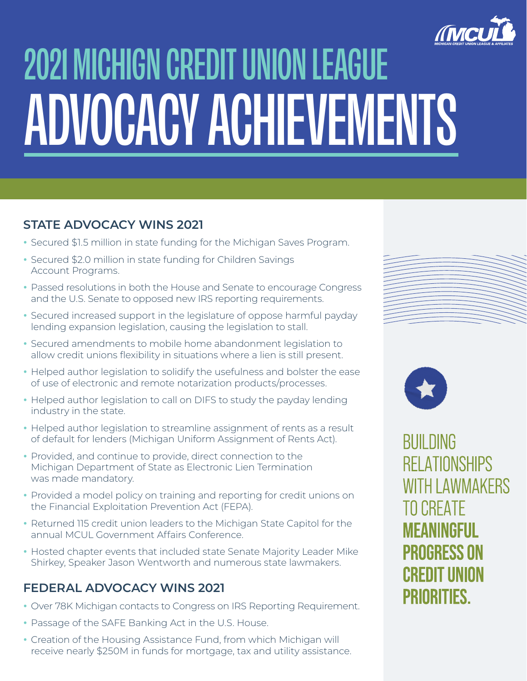

# 2021 MICHIGN CREDIT UNION LEAGUE ADVOCACY ACHIEVEMENTS

### **STATE ADVOCACY WINS 2021**

- **•** Secured \$1.5 million in state funding for the Michigan Saves Program.
- **•** Secured \$2.0 million in state funding for Children Savings Account Programs.
- **•** Passed resolutions in both the House and Senate to encourage Congress and the U.S. Senate to opposed new IRS reporting requirements.
- **•** Secured increased support in the legislature of oppose harmful payday lending expansion legislation, causing the legislation to stall.
- **•** Secured amendments to mobile home abandonment legislation to allow credit unions flexibility in situations where a lien is still present.
- **•** Helped author legislation to solidify the usefulness and bolster the ease of use of electronic and remote notarization products/processes.
- **•** Helped author legislation to call on DIFS to study the payday lending industry in the state.
- **•** Helped author legislation to streamline assignment of rents as a result of default for lenders (Michigan Uniform Assignment of Rents Act).
- **•** Provided, and continue to provide, direct connection to the Michigan Department of State as Electronic Lien Termination was made mandatory.
- **•** Provided a model policy on training and reporting for credit unions on the Financial Exploitation Prevention Act (FEPA).
- **•** Returned 115 credit union leaders to the Michigan State Capitol for the annual MCUL Government Affairs Conference.
- **•** Hosted chapter events that included state Senate Majority Leader Mike Shirkey, Speaker Jason Wentworth and numerous state lawmakers.

#### **FEDERAL ADVOCACY WINS 2021**

- **•** Over 78K Michigan contacts to Congress on IRS Reporting Requirement.
- **•** Passage of the SAFE Banking Act in the U.S. House.
- **•** Creation of the Housing Assistance Fund, from which Michigan will receive nearly \$250M in funds for mortgage, tax and utility assistance.





**BUILDING RELATIONSHIPS WITH LAWMAKERS TO CREATE** MFANINGFIJI **PROGRESS ON** CREDIT UNION **PRIORITIES.**